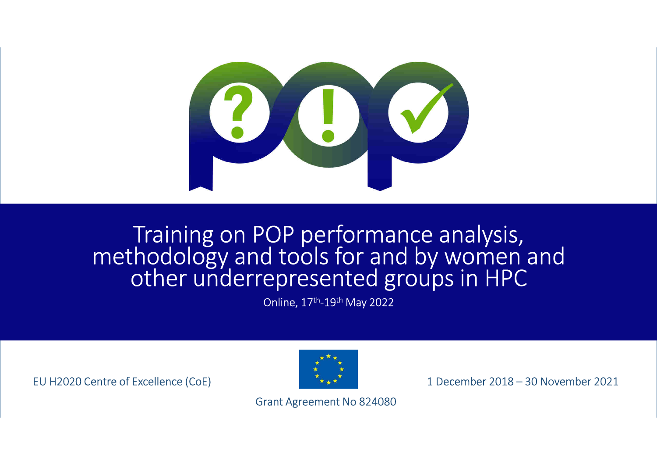

# Training on POP performance analysis, methodology and tools for and by women and other underrepresented groups in HPC

Online, 17th-19th May 2022

EU H2020 Centre of Excellence (CoE)



1 December 2018 – 30 November 2021

Grant Agreement No 824080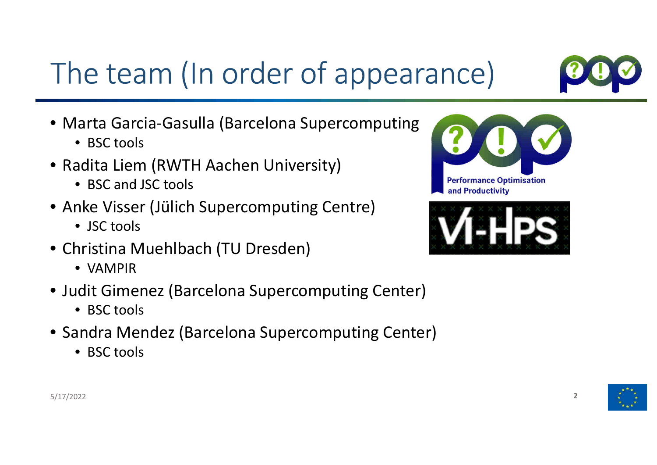## The team (In order of appearance)

- Marta Garcia-Gasulla (Barcelona Supercomputing
	- BSC tools
- Radita Liem (RWTH Aachen University)<br>• RSC and ISC tools
	- BSC and JSC tools
- Anke Visser (Jülich Supercomputing Centre)
	- JSC tools
- Christina Muehlbach (TU Dresden)
	- VAMPIR
- Judit Gimenez (Barcelona Supercomputing Center)
	- BSC tools
- Sandra Mendez (Barcelona Supercomputing Center)
	- BSC tools



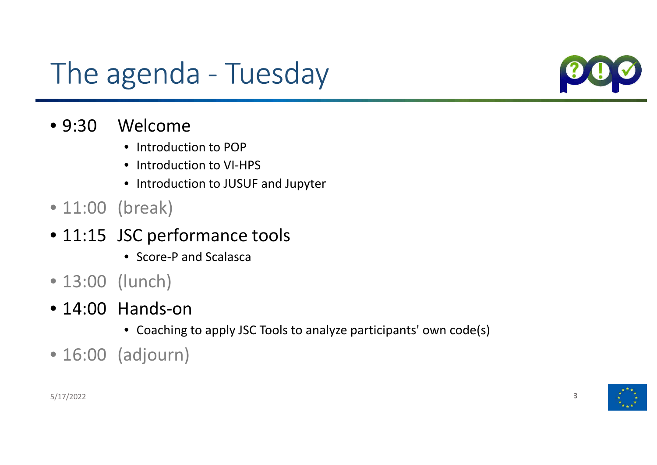## The agenda - Tuesday



- $•9:30$ Welcome
	- Introduction to POP
	- Introduction to VI-HPS
	- Introduction to JUSUF and Jupyter
- 11:00 (break)
- 11:15 JSC performance tools
	- Score-P and Scalasca
- 13:00 (lunch)
- 14:00 Hands-on
	- Coaching to apply JSC Tools to analyze participants' own code(s)
- 16:00 (adjourn)

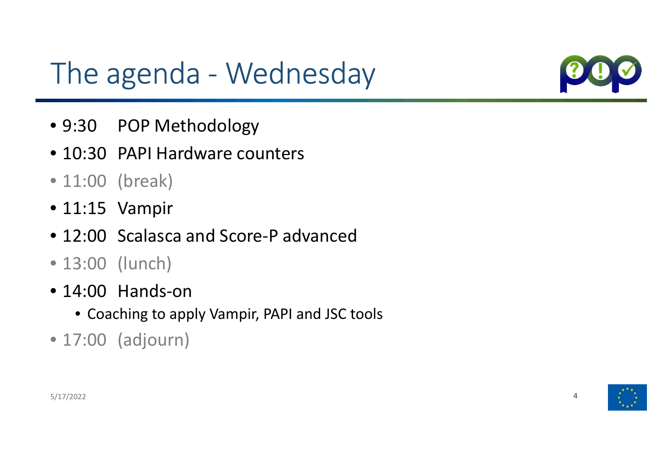### The agenda - Wednesday



- 9:30 POP Methodology
- 10:30 PAPI Hardware counters
- 11:00 (break)
- 11:15 Vampir
- 12:00 Scalasca and Score-P advanced
- 13:00 (lunch)
- 14:00 Hands-on
	- Coaching to apply Vampir, PAPI and JSC tools
- 17:00 (adjourn)

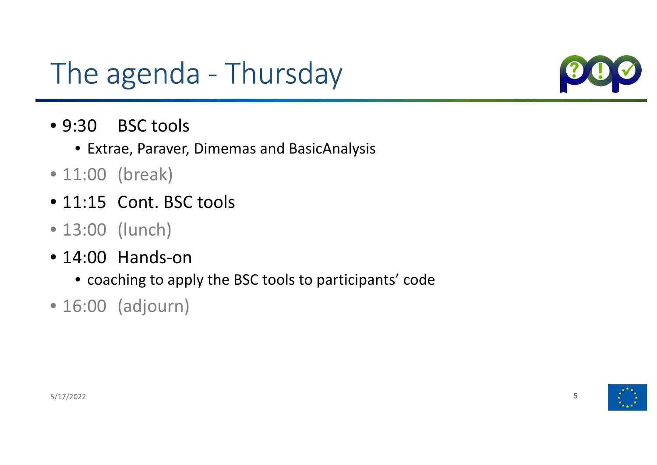### The agenda - Thursday



- $•9:30$ **BSC tools** 
	- Extrae, Paraver, Dimemas and BasicAnalysis
- 11:00 (break)
- 11:15 Cont. BSC tools
- 13:00 (lunch)
- 14:00 Hands-on
	- coaching to apply the BSC tools to participants' code
- 16:00 (adjourn)

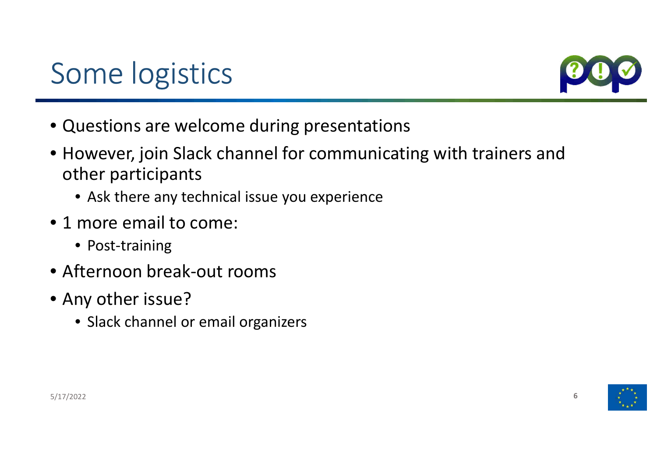### Some logistics



- Questions are welcome during presentations
- However, join Slack channel for communicating with trainers and other participants
	- Ask there any technical issue you experience
- <sup>1</sup> more email to come:
	- Post-training
- Afternoon break-out rooms
- Any other issue?
	- Slack channel or email organizers

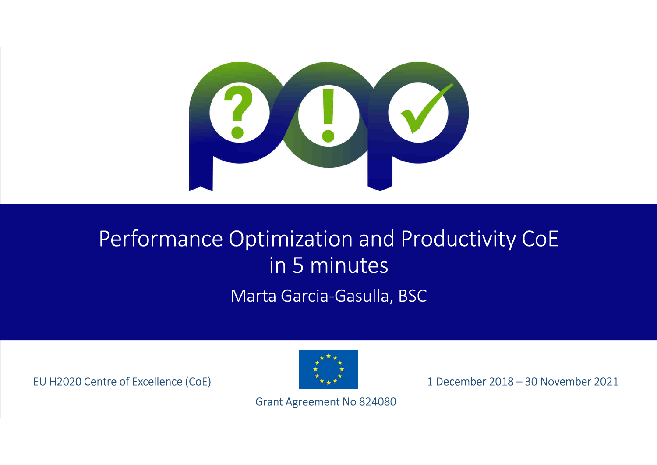

### Performance Optimization and Productivity CoEin 5 minutes

Marta Garcia-Gasulla, BSC

EU H2020 Centre of Excellence (CoE)



1 December 2018 – 30 November 2021

Grant Agreement No 824080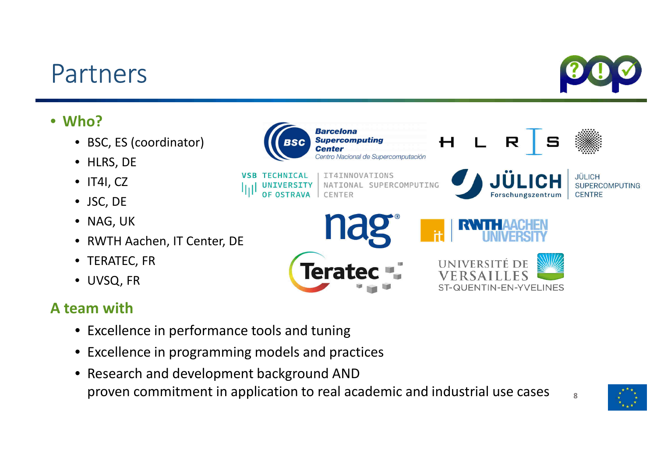### Partners

#### • **Who?**

- BSC, ES (coordinator)
- HLRS, DE
- IT4I, CZ
- JSC, DE
- NAG, UK
- RWTH Aachen, IT Center, DE
- TERATEC, FR
- UVSQ, FR

#### **A team with**

- Excellence in performance tools and tuning
- Excellence in programming models and practices
- Research and development background AND proven commitment in application to real academic and industrial use cases  $\mathsf{B}=\mathsf{B}$



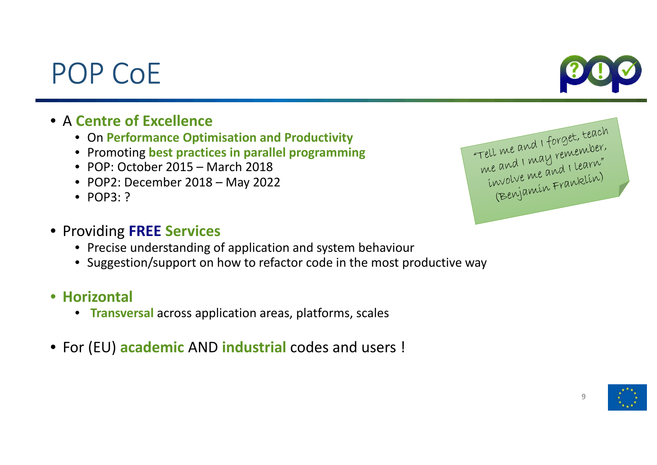#### 9

### • <sup>A</sup>**Centre of Excellence**

- On **Performance Optimisation and Productivity**
- Promoting **best practices in parallel programming**
- POP: October 2015 March 2018
- POP2: December 2018 May 2022
- POP3: ?

POP CoE

#### • Providing **FREE Services**

- Precise understanding of application and system behaviour
- Suggestion/support on how to refactor code in the most productive way
- **Horizontal**
	- **Transversal** across application areas, platforms, scales
- For (EU) **academic** AND **industrial** codes and users !



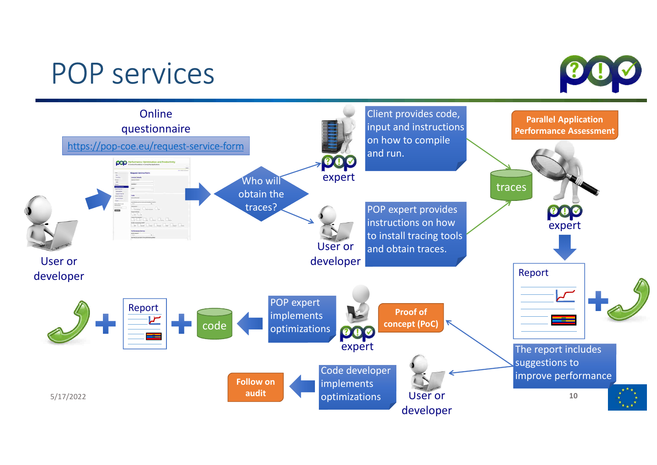### POP services

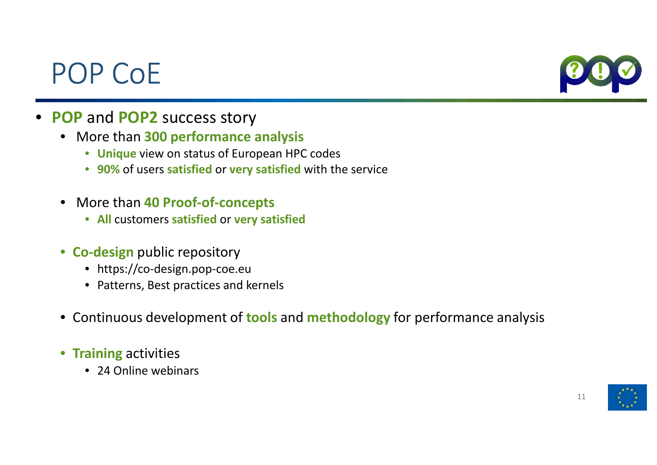### POP CoE



- **POP** and **POP2** success story
	- More than **300 performance analysis** 
		- **Unique** view on status of European HPC codes
		- **90%** of users **satisfied** or **very satisfied** with the service
	- More than **40 Proof-of-concepts**
		- **All** customers **satisfied** or **very satisfied**
	- **Co-design** public repository
		- https://co-design.pop-coe.eu
		- Patterns, Best practices and kernels
	- Continuous development of **tools** and **methodology** for performance analysis
	- **Training** activities
		- 24 Online webinars